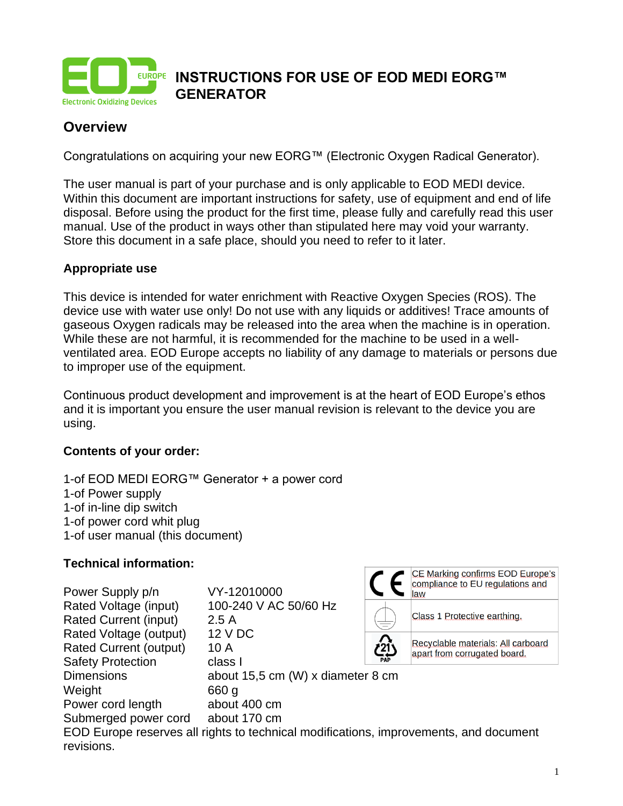

# **Overview**

Congratulations on acquiring your new EORG™ (Electronic Oxygen Radical Generator).

The user manual is part of your purchase and is only applicable to EOD MEDI device. Within this document are important instructions for safety, use of equipment and end of life disposal. Before using the product for the first time, please fully and carefully read this user manual. Use of the product in ways other than stipulated here may void your warranty. Store this document in a safe place, should you need to refer to it later.

#### **Appropriate use**

This device is intended for water enrichment with Reactive Oxygen Species (ROS). The device use with water use only! Do not use with any liquids or additives! Trace amounts of gaseous Oxygen radicals may be released into the area when the machine is in operation. While these are not harmful, it is recommended for the machine to be used in a wellventilated area. EOD Europe accepts no liability of any damage to materials or persons due to improper use of the equipment.

Continuous product development and improvement is at the heart of EOD Europe's ethos and it is important you ensure the user manual revision is relevant to the device you are using.

#### **Contents of your order:**

1-of EOD MEDI EORG™ Generator + a power cord 1-of Power supply 1-of in-line dip switch 1-of power cord whit plug 1-of user manual (this document)

#### **Technical information:**

| Power Supply p/n              | VY-12010000                                                                           |  | compliance to EU regulations and<br>law                            |
|-------------------------------|---------------------------------------------------------------------------------------|--|--------------------------------------------------------------------|
| Rated Voltage (input)         | 100-240 V AC 50/60 Hz                                                                 |  |                                                                    |
| <b>Rated Current (input)</b>  | 2.5A                                                                                  |  | Class 1 Protective earthing.                                       |
| Rated Voltage (output)        | 12 V DC                                                                               |  |                                                                    |
| <b>Rated Current (output)</b> | 10 A                                                                                  |  | Recyclable materials: All carboard<br>apart from corrugated board. |
| <b>Safety Protection</b>      | class I                                                                               |  |                                                                    |
| <b>Dimensions</b>             | about 15,5 cm (W) x diameter 8 cm                                                     |  |                                                                    |
| Weight                        | 660 g                                                                                 |  |                                                                    |
| Power cord length             | about 400 cm                                                                          |  |                                                                    |
| Submerged power cord          | about 170 cm                                                                          |  |                                                                    |
|                               | EOD Europe reserves all rights to technical modifications, improvements, and document |  |                                                                    |
| revisions.                    |                                                                                       |  |                                                                    |

 $\Box$   $\Box$  CE Marking confirms EOD Europe's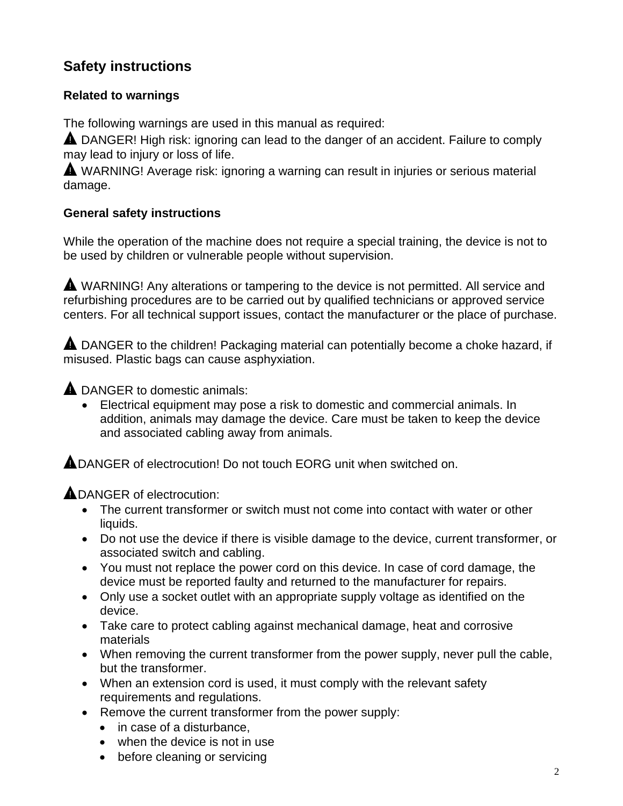# **Safety instructions**

## **Related to warnings**

The following warnings are used in this manual as required:

**A** DANGER! High risk: ignoring can lead to the danger of an accident. Failure to comply may lead to injury or loss of life.

A WARNING! Average risk: ignoring a warning can result in injuries or serious material damage.

## **General safety instructions**

While the operation of the machine does not require a special training, the device is not to be used by children or vulnerable people without supervision.

**A** WARNING! Any alterations or tampering to the device is not permitted. All service and refurbishing procedures are to be carried out by qualified technicians or approved service centers. For all technical support issues, contact the manufacturer or the place of purchase.

**A** DANGER to the children! Packaging material can potentially become a choke hazard, if misused. Plastic bags can cause asphyxiation.

**A** DANGER to domestic animals:

• Electrical equipment may pose a risk to domestic and commercial animals. In addition, animals may damage the device. Care must be taken to keep the device and associated cabling away from animals.

**ADANGER of electrocution! Do not touch EORG unit when switched on.** 

**ADANGER of electrocution:** 

- The current transformer or switch must not come into contact with water or other liquids.
- Do not use the device if there is visible damage to the device, current transformer, or associated switch and cabling.
- You must not replace the power cord on this device. In case of cord damage, the device must be reported faulty and returned to the manufacturer for repairs.
- Only use a socket outlet with an appropriate supply voltage as identified on the device.
- Take care to protect cabling against mechanical damage, heat and corrosive materials
- When removing the current transformer from the power supply, never pull the cable, but the transformer.
- When an extension cord is used, it must comply with the relevant safety requirements and regulations.
- Remove the current transformer from the power supply:
	- in case of a disturbance.
	- when the device is not in use
	- before cleaning or servicing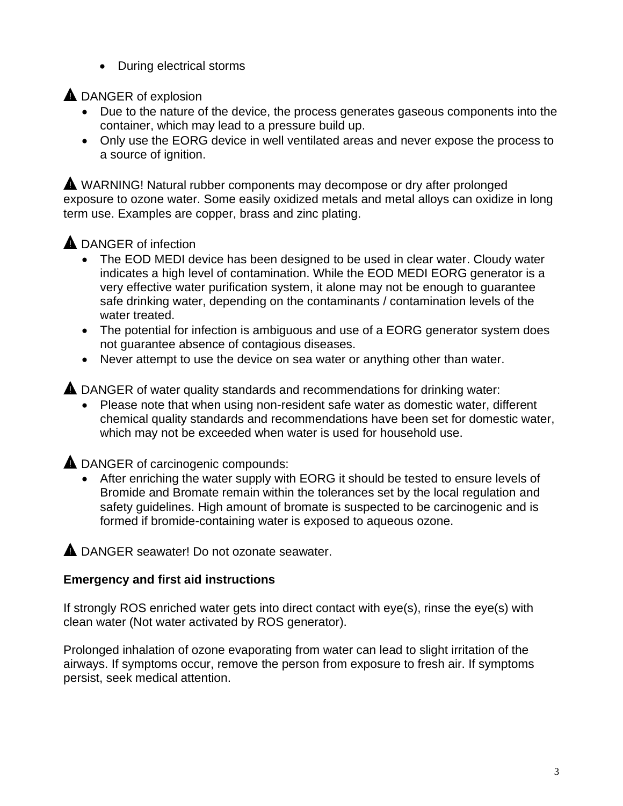• During electrical storms

**A** DANGER of explosion

- Due to the nature of the device, the process generates gaseous components into the container, which may lead to a pressure build up.
- Only use the EORG device in well ventilated areas and never expose the process to a source of ignition.

**A** WARNING! Natural rubber components may decompose or dry after prolonged exposure to ozone water. Some easily oxidized metals and metal alloys can oxidize in long term use. Examples are copper, brass and zinc plating.

# **A** DANGER of infection

- The EOD MEDI device has been designed to be used in clear water. Cloudy water indicates a high level of contamination. While the EOD MEDI EORG generator is a very effective water purification system, it alone may not be enough to guarantee safe drinking water, depending on the contaminants / contamination levels of the water treated.
- The potential for infection is ambiguous and use of a EORG generator system does not guarantee absence of contagious diseases.
- Never attempt to use the device on sea water or anything other than water.

**A** DANGER of water quality standards and recommendations for drinking water:

• Please note that when using non-resident safe water as domestic water, different chemical quality standards and recommendations have been set for domestic water, which may not be exceeded when water is used for household use.

**A** DANGER of carcinogenic compounds:

• After enriching the water supply with EORG it should be tested to ensure levels of Bromide and Bromate remain within the tolerances set by the local regulation and safety guidelines. High amount of bromate is suspected to be carcinogenic and is formed if bromide-containing water is exposed to aqueous ozone.

A DANGER seawater! Do not ozonate seawater.

## **Emergency and first aid instructions**

If strongly ROS enriched water gets into direct contact with eye(s), rinse the eye(s) with clean water (Not water activated by ROS generator).

Prolonged inhalation of ozone evaporating from water can lead to slight irritation of the airways. If symptoms occur, remove the person from exposure to fresh air. If symptoms persist, seek medical attention.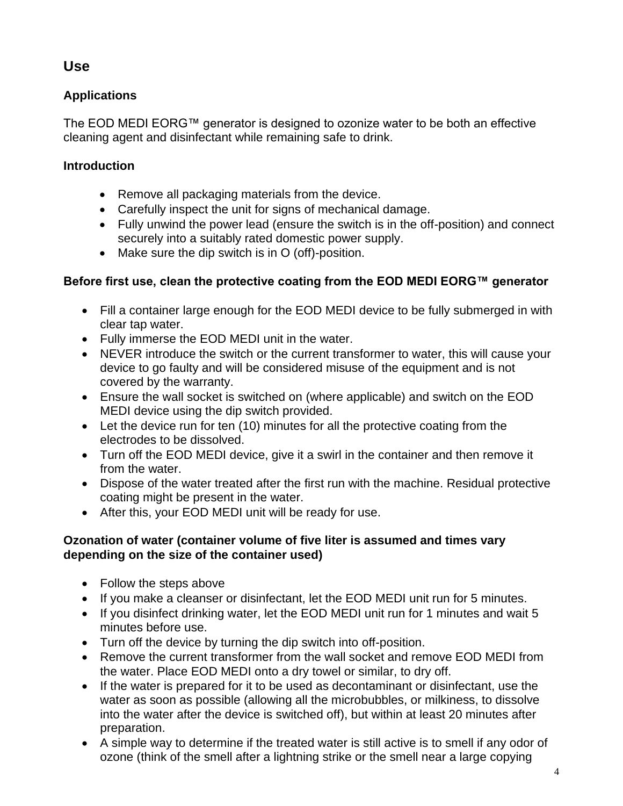# **Use**

# **Applications**

The EOD MEDI EORG™ generator is designed to ozonize water to be both an effective cleaning agent and disinfectant while remaining safe to drink.

## **Introduction**

- Remove all packaging materials from the device.
- Carefully inspect the unit for signs of mechanical damage.
- Fully unwind the power lead (ensure the switch is in the off-position) and connect securely into a suitably rated domestic power supply.
- Make sure the dip switch is in O (off)-position.

# **Before first use, clean the protective coating from the EOD MEDI EORG™ generator**

- Fill a container large enough for the EOD MEDI device to be fully submerged in with clear tap water.
- Fully immerse the EOD MEDI unit in the water.
- NEVER introduce the switch or the current transformer to water, this will cause your device to go faulty and will be considered misuse of the equipment and is not covered by the warranty.
- Ensure the wall socket is switched on (where applicable) and switch on the EOD MEDI device using the dip switch provided.
- Let the device run for ten (10) minutes for all the protective coating from the electrodes to be dissolved.
- Turn off the EOD MEDI device, give it a swirl in the container and then remove it from the water.
- Dispose of the water treated after the first run with the machine. Residual protective coating might be present in the water.
- After this, your EOD MEDI unit will be ready for use.

### **Ozonation of water (container volume of five liter is assumed and times vary depending on the size of the container used)**

- Follow the steps above
- If you make a cleanser or disinfectant, let the EOD MEDI unit run for 5 minutes.
- If you disinfect drinking water, let the EOD MEDI unit run for 1 minutes and wait 5 minutes before use.
- Turn off the device by turning the dip switch into off-position.
- Remove the current transformer from the wall socket and remove EOD MEDI from the water. Place EOD MEDI onto a dry towel or similar, to dry off.
- If the water is prepared for it to be used as decontaminant or disinfectant, use the water as soon as possible (allowing all the microbubbles, or milkiness, to dissolve into the water after the device is switched off), but within at least 20 minutes after preparation.
- A simple way to determine if the treated water is still active is to smell if any odor of ozone (think of the smell after a lightning strike or the smell near a large copying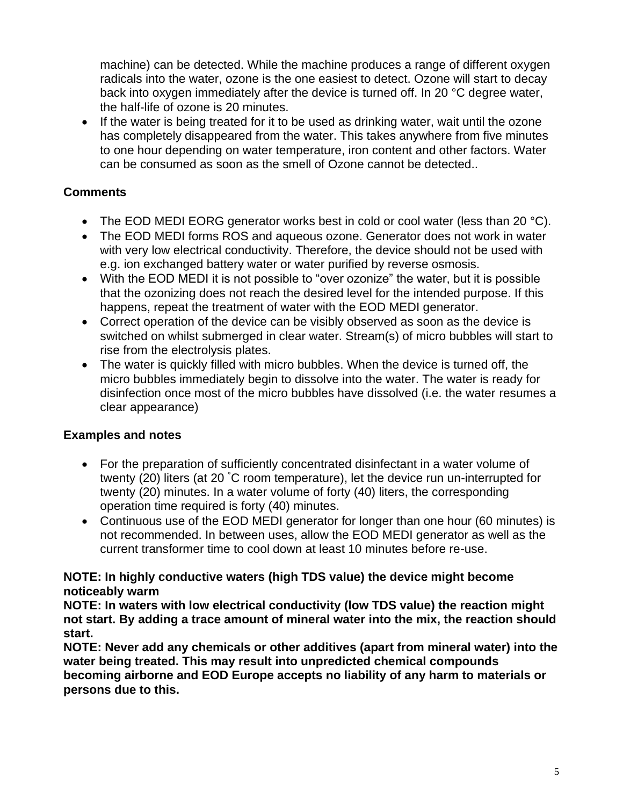machine) can be detected. While the machine produces a range of different oxygen radicals into the water, ozone is the one easiest to detect. Ozone will start to decay back into oxygen immediately after the device is turned off. In 20 °C degree water, the half-life of ozone is 20 minutes.

• If the water is being treated for it to be used as drinking water, wait until the ozone has completely disappeared from the water. This takes anywhere from five minutes to one hour depending on water temperature, iron content and other factors. Water can be consumed as soon as the smell of Ozone cannot be detected..

## **Comments**

- The EOD MEDI EORG generator works best in cold or cool water (less than 20 °C).
- The EOD MEDI forms ROS and aqueous ozone. Generator does not work in water with very low electrical conductivity. Therefore, the device should not be used with e.g. ion exchanged battery water or water purified by reverse osmosis.
- With the EOD MEDI it is not possible to "over ozonize" the water, but it is possible that the ozonizing does not reach the desired level for the intended purpose. If this happens, repeat the treatment of water with the EOD MEDI generator.
- Correct operation of the device can be visibly observed as soon as the device is switched on whilst submerged in clear water. Stream(s) of micro bubbles will start to rise from the electrolysis plates.
- The water is quickly filled with micro bubbles. When the device is turned off, the micro bubbles immediately begin to dissolve into the water. The water is ready for disinfection once most of the micro bubbles have dissolved (i.e. the water resumes a clear appearance)

### **Examples and notes**

- For the preparation of sufficiently concentrated disinfectant in a water volume of twenty (20) liters (at 20 °C room temperature), let the device run un-interrupted for twenty (20) minutes. In a water volume of forty (40) liters, the corresponding operation time required is forty (40) minutes.
- Continuous use of the EOD MEDI generator for longer than one hour (60 minutes) is not recommended. In between uses, allow the EOD MEDI generator as well as the current transformer time to cool down at least 10 minutes before re-use.

#### **NOTE: In highly conductive waters (high TDS value) the device might become noticeably warm**

**NOTE: In waters with low electrical conductivity (low TDS value) the reaction might not start. By adding a trace amount of mineral water into the mix, the reaction should start.**

**NOTE: Never add any chemicals or other additives (apart from mineral water) into the water being treated. This may result into unpredicted chemical compounds becoming airborne and EOD Europe accepts no liability of any harm to materials or persons due to this.**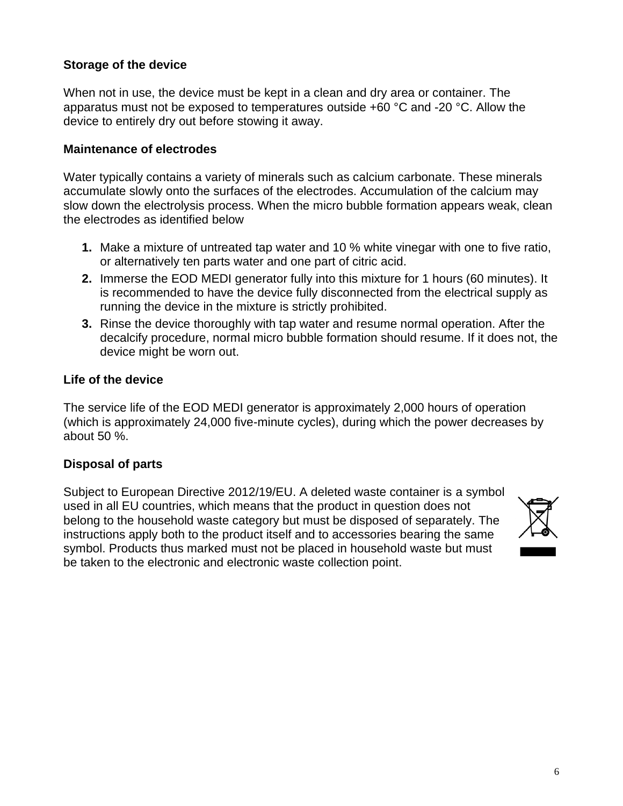### **Storage of the device**

When not in use, the device must be kept in a clean and dry area or container. The apparatus must not be exposed to temperatures outside +60 °C and -20 °C. Allow the device to entirely dry out before stowing it away.

#### **Maintenance of electrodes**

Water typically contains a variety of minerals such as calcium carbonate. These minerals accumulate slowly onto the surfaces of the electrodes. Accumulation of the calcium may slow down the electrolysis process. When the micro bubble formation appears weak, clean the electrodes as identified below

- **1.** Make a mixture of untreated tap water and 10 % white vinegar with one to five ratio, or alternatively ten parts water and one part of citric acid.
- **2.** Immerse the EOD MEDI generator fully into this mixture for 1 hours (60 minutes). It is recommended to have the device fully disconnected from the electrical supply as running the device in the mixture is strictly prohibited.
- **3.** Rinse the device thoroughly with tap water and resume normal operation. After the decalcify procedure, normal micro bubble formation should resume. If it does not, the device might be worn out.

#### **Life of the device**

The service life of the EOD MEDI generator is approximately 2,000 hours of operation (which is approximately 24,000 five-minute cycles), during which the power decreases by about 50 %.

### **Disposal of parts**

Subject to European Directive 2012/19/EU. A deleted waste container is a symbol used in all EU countries, which means that the product in question does not belong to the household waste category but must be disposed of separately. The instructions apply both to the product itself and to accessories bearing the same symbol. Products thus marked must not be placed in household waste but must be taken to the electronic and electronic waste collection point.

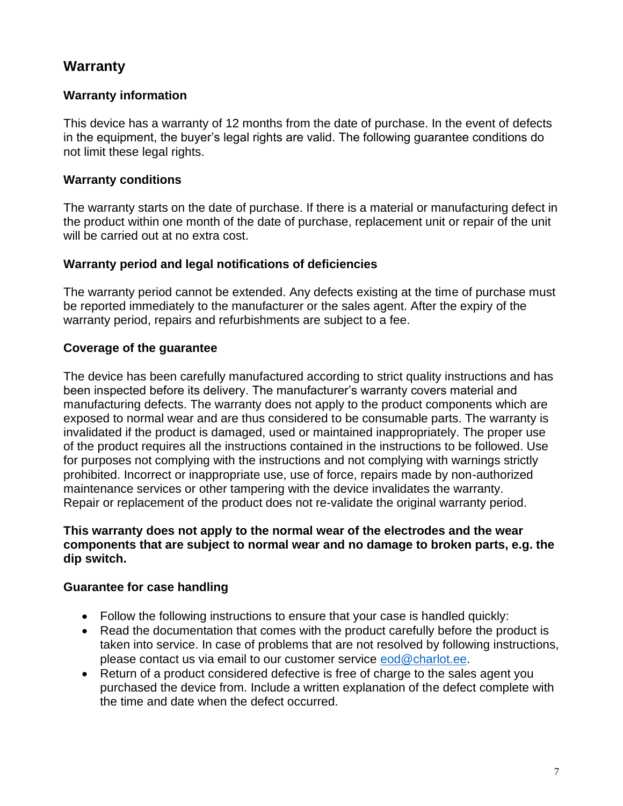# **Warranty**

### **Warranty information**

This device has a warranty of 12 months from the date of purchase. In the event of defects in the equipment, the buyer's legal rights are valid. The following guarantee conditions do not limit these legal rights.

### **Warranty conditions**

The warranty starts on the date of purchase. If there is a material or manufacturing defect in the product within one month of the date of purchase, replacement unit or repair of the unit will be carried out at no extra cost.

## **Warranty period and legal notifications of deficiencies**

The warranty period cannot be extended. Any defects existing at the time of purchase must be reported immediately to the manufacturer or the sales agent. After the expiry of the warranty period, repairs and refurbishments are subject to a fee.

## **Coverage of the guarantee**

The device has been carefully manufactured according to strict quality instructions and has been inspected before its delivery. The manufacturer's warranty covers material and manufacturing defects. The warranty does not apply to the product components which are exposed to normal wear and are thus considered to be consumable parts. The warranty is invalidated if the product is damaged, used or maintained inappropriately. The proper use of the product requires all the instructions contained in the instructions to be followed. Use for purposes not complying with the instructions and not complying with warnings strictly prohibited. Incorrect or inappropriate use, use of force, repairs made by non-authorized maintenance services or other tampering with the device invalidates the warranty. Repair or replacement of the product does not re-validate the original warranty period.

#### **This warranty does not apply to the normal wear of the electrodes and the wear components that are subject to normal wear and no damage to broken parts, e.g. the dip switch.**

## **Guarantee for case handling**

- Follow the following instructions to ensure that your case is handled quickly:
- Read the documentation that comes with the product carefully before the product is taken into service. In case of problems that are not resolved by following instructions, please contact us via email to our customer service [eod@charlot.ee.](mailto:eod@charlot.ee)
- Return of a product considered defective is free of charge to the sales agent you purchased the device from. Include a written explanation of the defect complete with the time and date when the defect occurred.